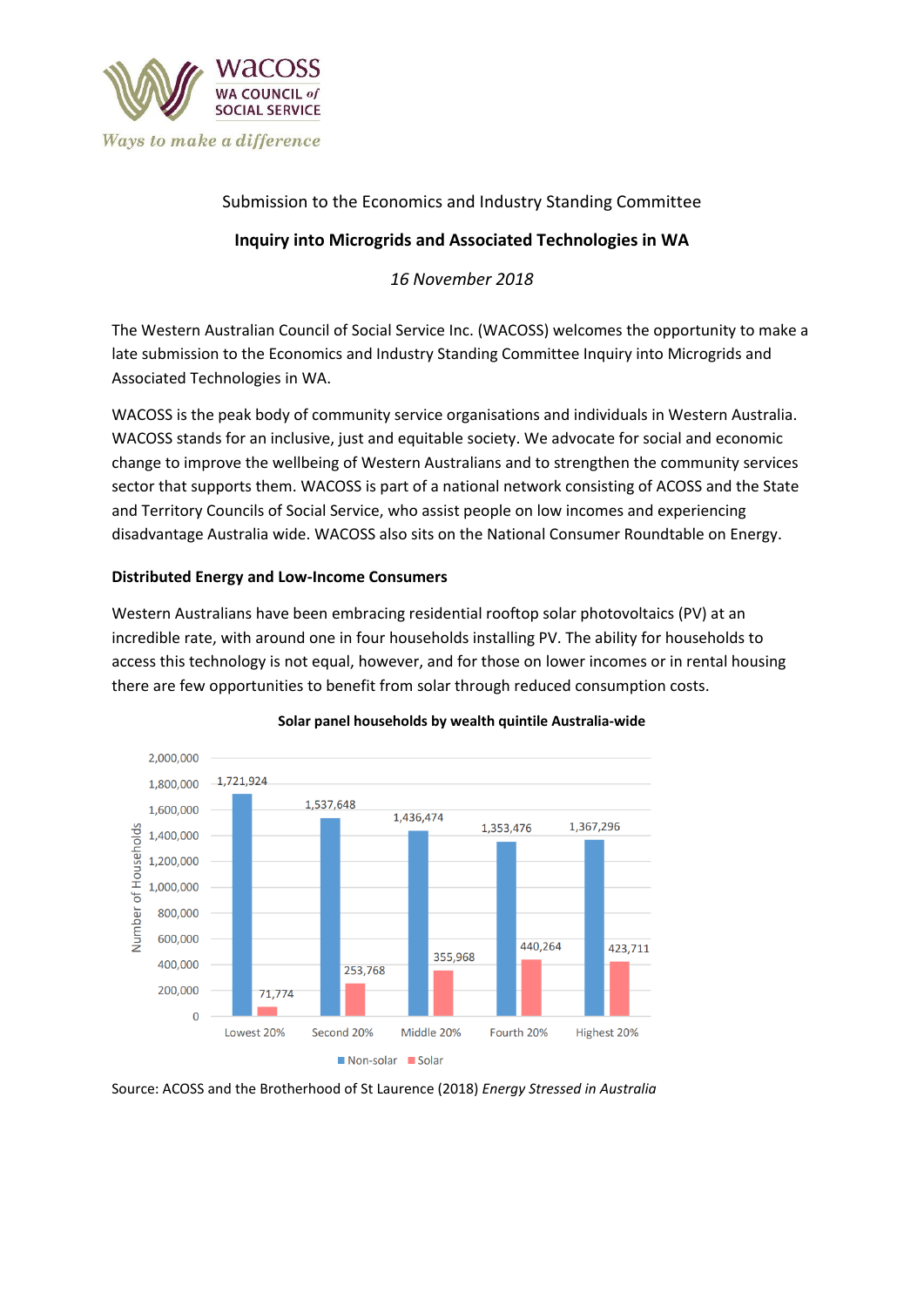

# Submission to the Economics and Industry Standing Committee

# **Inquiry into Microgrids and Associated Technologies in WA**

*16 November 2018*

The Western Australian Council of Social Service Inc. (WACOSS) welcomes the opportunity to make a late submission to the Economics and Industry Standing Committee Inquiry into Microgrids and Associated Technologies in WA.

WACOSS is the peak body of community service organisations and individuals in Western Australia. WACOSS stands for an inclusive, just and equitable society. We advocate for social and economic change to improve the wellbeing of Western Australians and to strengthen the community services sector that supports them. WACOSS is part of a national network consisting of ACOSS and the State and Territory Councils of Social Service, who assist people on low incomes and experiencing disadvantage Australia wide. WACOSS also sits on the National Consumer Roundtable on Energy.

## **Distributed Energy and Low-Income Consumers**

Western Australians have been embracing residential rooftop solar photovoltaics (PV) at an incredible rate, with around one in four households installing PV. The ability for households to access this technology is not equal, however, and for those on lower incomes or in rental housing there are few opportunities to benefit from solar through reduced consumption costs.



#### **Solar panel households by wealth quintile Australia-wide**

Source: ACOSS and the Brotherhood of St Laurence (2018) *Energy Stressed in Australia*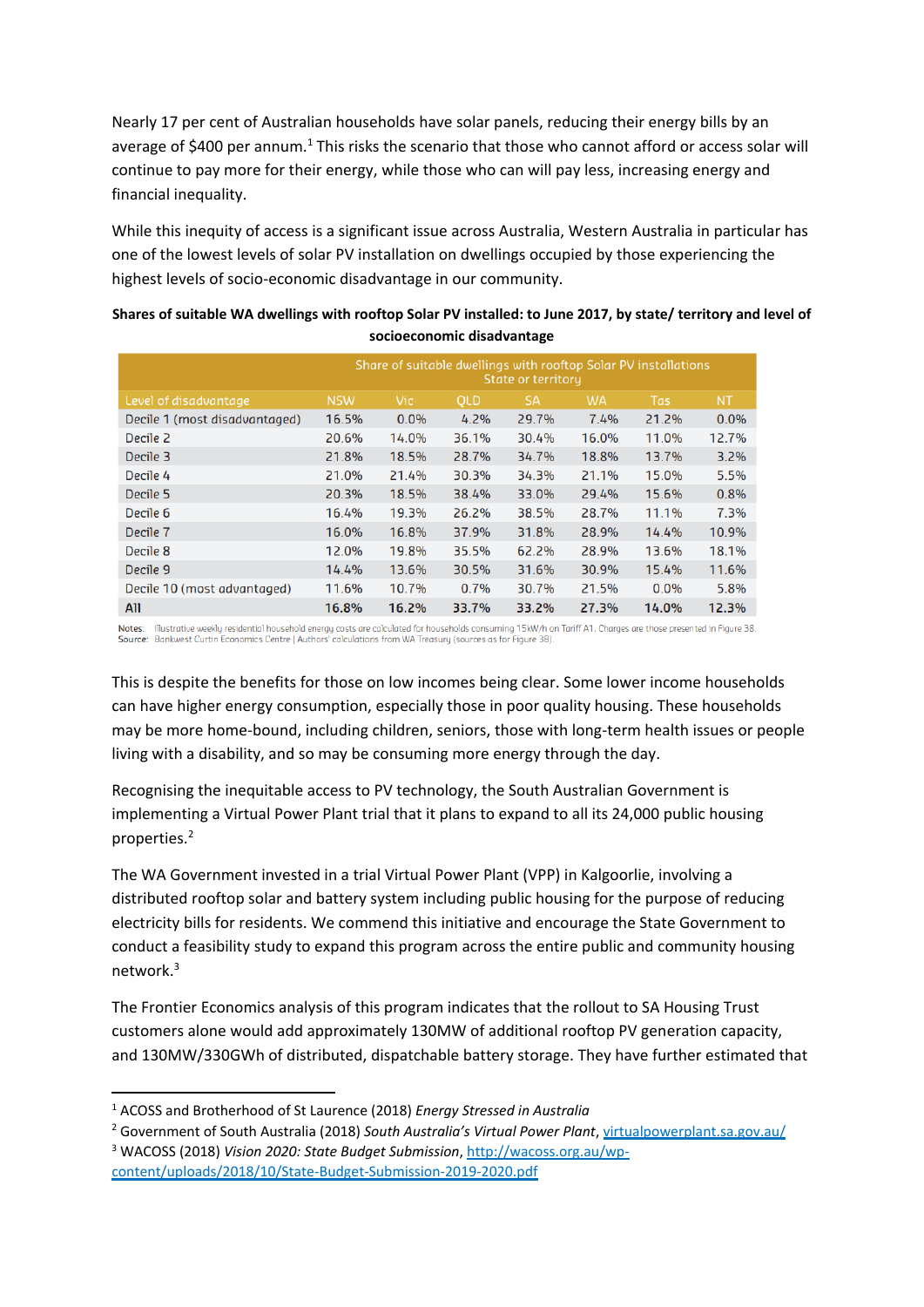Nearly 17 per cent of Australian households have solar panels, reducing their energy bills by an average of \$400 per annum.<sup>1</sup> This risks the scenario that those who cannot afford or access solar will continue to pay more for their energy, while those who can will pay less, increasing energy and financial inequality.

While this inequity of access is a significant issue across Australia, Western Australia in particular has one of the lowest levels of solar PV installation on dwellings occupied by those experiencing the highest levels of socio-economic disadvantage in our community.

| Shares of suitable WA dwellings with rooftop Solar PV installed: to June 2017, by state/ territory and level of |
|-----------------------------------------------------------------------------------------------------------------|
| socioeconomic disadvantage                                                                                      |

|                               | Share of suitable dwellings with rooftop Solar PV installations<br>State or territory |            |            |           |           |            |           |
|-------------------------------|---------------------------------------------------------------------------------------|------------|------------|-----------|-----------|------------|-----------|
| Level of disadvantage         | <b>NSW</b>                                                                            | <b>Vic</b> | <b>OLD</b> | <b>SA</b> | <b>WA</b> | <b>Tas</b> | <b>NT</b> |
| Decile 1 (most disadvantaged) | 16.5%                                                                                 | 0.0%       | $4.2\%$    | 29.7%     | 7.4%      | 21.2%      | 0.0%      |
| Decile 2                      | 20.6%                                                                                 | 14.0%      | 36.1%      | 30.4%     | 16.0%     | 11.0%      | 12.7%     |
| Decile 3                      | 21.8%                                                                                 | 18.5%      | 28.7%      | 34.7%     | 18.8%     | 13.7%      | 3.2%      |
| Decile 4                      | 21.0%                                                                                 | 21.4%      | 30.3%      | 34.3%     | 21.1%     | 15.0%      | 5.5%      |
| Decile 5                      | 20.3%                                                                                 | 18.5%      | 38.4%      | 33.0%     | 29.4%     | 15.6%      | 0.8%      |
| Decile 6                      | 16.4%                                                                                 | 19.3%      | 26.2%      | 38.5%     | 28.7%     | 11.1%      | 7.3%      |
| Decile 7                      | 16.0%                                                                                 | 16.8%      | 37.9%      | 31.8%     | 28.9%     | 14.4%      | 10.9%     |
| Decile 8                      | 12.0%                                                                                 | 19.8%      | 35.5%      | 62.2%     | 28.9%     | 13.6%      | 18.1%     |
| Decile 9                      | 14.4%                                                                                 | 13.6%      | 30.5%      | 31.6%     | 30.9%     | 15.4%      | 11.6%     |
| Decile 10 (most advantaged)   | 11.6%                                                                                 | 10.7%      | 0.7%       | 30.7%     | 21.5%     | $0.0\%$    | 5.8%      |
| All                           | 16.8%                                                                                 | 16.2%      | 33.7%      | 33.2%     | 27.3%     | 14.0%      | 12.3%     |
|                               |                                                                                       |            |            |           |           |            |           |

Illustrative weekly residential household energy costs are calculated for households consuming 15kW/h on Tariff A1. Charges are those presented in Figure 38. Notes: Source: Bankwest Curtin Economics Centre | Authors' calculations from WA Treasury (sources as for Figure 38)

This is despite the benefits for those on low incomes being clear. Some lower income households can have higher energy consumption, especially those in poor quality housing. These households may be more home-bound, including children, seniors, those with long-term health issues or people living with a disability, and so may be consuming more energy through the day.

Recognising the inequitable access to PV technology, the South Australian Government is implementing a Virtual Power Plant trial that it plans to expand to all its 24,000 public housing properties.<sup>2</sup>

The WA Government invested in a trial Virtual Power Plant (VPP) in Kalgoorlie, involving a distributed rooftop solar and battery system including public housing for the purpose of reducing electricity bills for residents. We commend this initiative and encourage the State Government to conduct a feasibility study to expand this program across the entire public and community housing network.<sup>3</sup>

The Frontier Economics analysis of this program indicates that the rollout to SA Housing Trust customers alone would add approximately 130MW of additional rooftop PV generation capacity, and 130MW/330GWh of distributed, dispatchable battery storage. They have further estimated that

**.** 

<sup>3</sup> WACOSS (2018) *Vision 2020: State Budget Submission*, [http://wacoss.org.au/wp](http://wacoss.org.au/wp-content/uploads/2018/10/State-Budget-Submission-2019-2020.pdf)[content/uploads/2018/10/State-Budget-Submission-2019-2020.pdf](http://wacoss.org.au/wp-content/uploads/2018/10/State-Budget-Submission-2019-2020.pdf)

<sup>1</sup> ACOSS and Brotherhood of St Laurence (2018) *Energy Stressed in Australia*

<sup>2</sup> Government of South Australia (2018) *South Australia's Virtual Power Plant*[, virtualpowerplant.sa.gov.au/](https://virtualpowerplant.sa.gov.au/)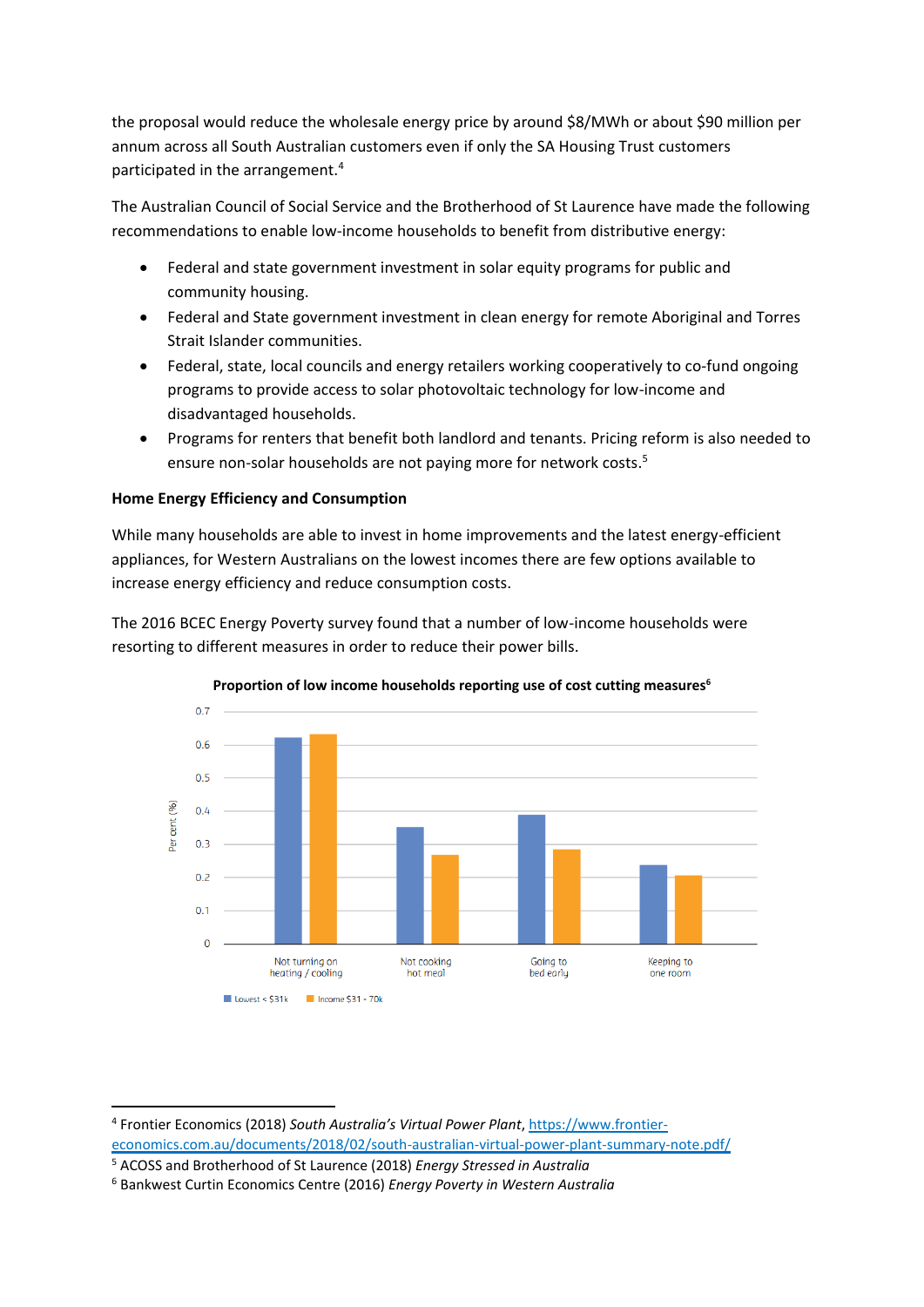the proposal would reduce the wholesale energy price by around \$8/MWh or about \$90 million per annum across all South Australian customers even if only the SA Housing Trust customers participated in the arrangement.<sup>4</sup>

The Australian Council of Social Service and the Brotherhood of St Laurence have made the following recommendations to enable low-income households to benefit from distributive energy:

- Federal and state government investment in solar equity programs for public and community housing.
- Federal and State government investment in clean energy for remote Aboriginal and Torres Strait Islander communities.
- Federal, state, local councils and energy retailers working cooperatively to co-fund ongoing programs to provide access to solar photovoltaic technology for low-income and disadvantaged households.
- Programs for renters that benefit both landlord and tenants. Pricing reform is also needed to ensure non-solar households are not paying more for network costs. 5

## **Home Energy Efficiency and Consumption**

While many households are able to invest in home improvements and the latest energy-efficient appliances, for Western Australians on the lowest incomes there are few options available to increase energy efficiency and reduce consumption costs.

The 2016 BCEC Energy Poverty survey found that a number of low-income households were resorting to different measures in order to reduce their power bills.



#### **Proportion of low income households reporting use of cost cutting measures<sup>6</sup>**

<sup>4</sup> Frontier Economics (2018) *South Australia's Virtual Power Plant*[, https://www.frontier](https://www.frontier-economics.com.au/documents/2018/02/south-australian-virtual-power-plant-summary-note.pdf/)[economics.com.au/documents/2018/02/south-australian-virtual-power-plant-summary-note.pdf/](https://www.frontier-economics.com.au/documents/2018/02/south-australian-virtual-power-plant-summary-note.pdf/)

<sup>5</sup> ACOSS and Brotherhood of St Laurence (2018) *Energy Stressed in Australia*

<sup>6</sup> Bankwest Curtin Economics Centre (2016) *Energy Poverty in Western Australia*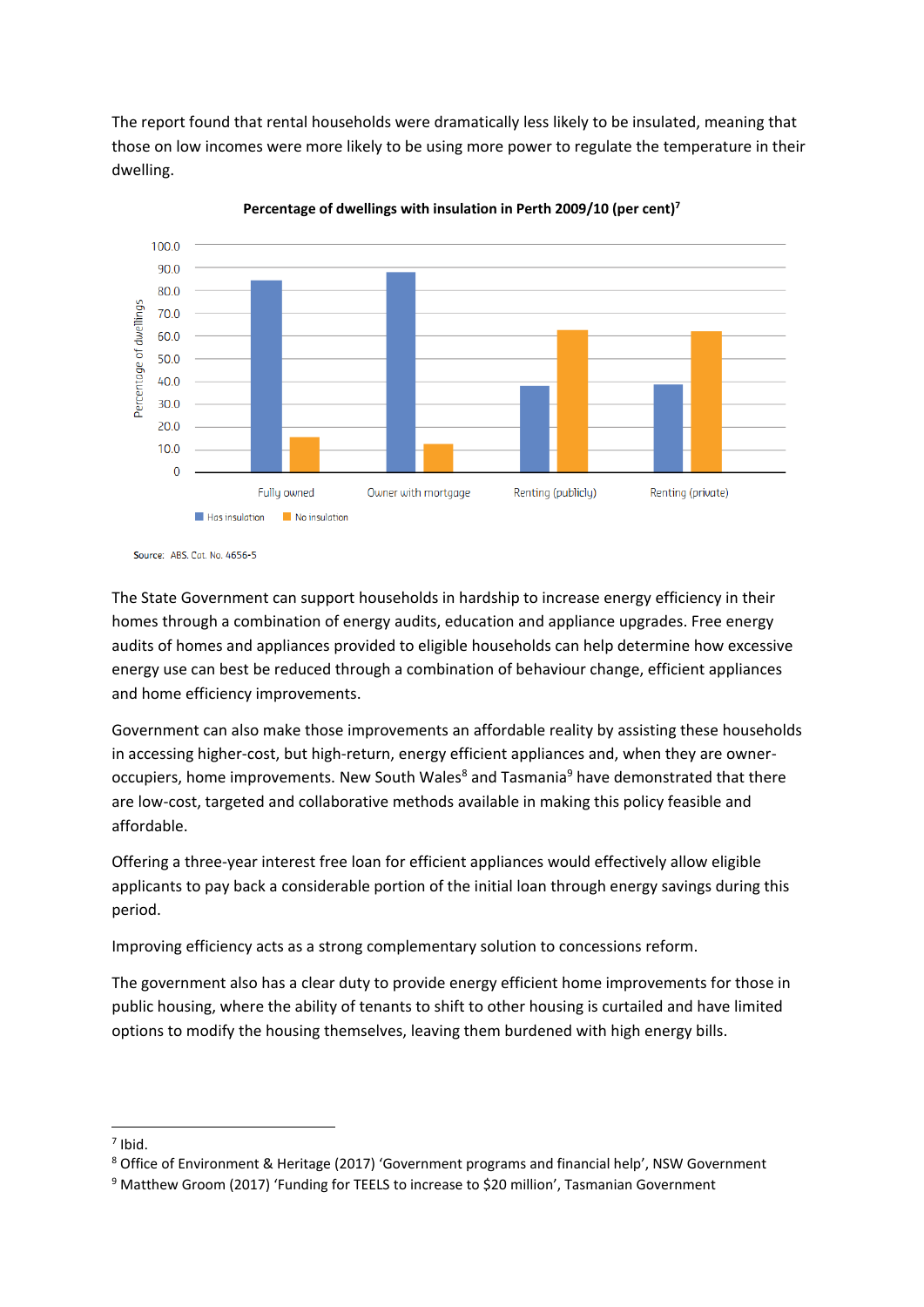The report found that rental households were dramatically less likely to be insulated, meaning that those on low incomes were more likely to be using more power to regulate the temperature in their dwelling.



**Percentage of dwellings with insulation in Perth 2009/10 (per cent)<sup>7</sup>**

The State Government can support households in hardship to increase energy efficiency in their homes through a combination of energy audits, education and appliance upgrades. Free energy audits of homes and appliances provided to eligible households can help determine how excessive energy use can best be reduced through a combination of behaviour change, efficient appliances and home efficiency improvements.

Government can also make those improvements an affordable reality by assisting these households in accessing higher-cost, but high-return, energy efficient appliances and, when they are owneroccupiers, home improvements. New South Wales<sup>8</sup> and Tasmania<sup>9</sup> have demonstrated that there are low-cost, targeted and collaborative methods available in making this policy feasible and affordable.

Offering a three-year interest free loan for efficient appliances would effectively allow eligible applicants to pay back a considerable portion of the initial loan through energy savings during this period.

Improving efficiency acts as a strong complementary solution to concessions reform.

The government also has a clear duty to provide energy efficient home improvements for those in public housing, where the ability of tenants to shift to other housing is curtailed and have limited options to modify the housing themselves, leaving them burdened with high energy bills.

Source: ABS. Cat. No. 4656-5

 $<sup>7</sup>$  Ibid.</sup>

<sup>8</sup> Office of Environment & Heritage (2017) 'Government programs and financial help', NSW Government

<sup>9</sup> Matthew Groom (2017) 'Funding for TEELS to increase to \$20 million', Tasmanian Government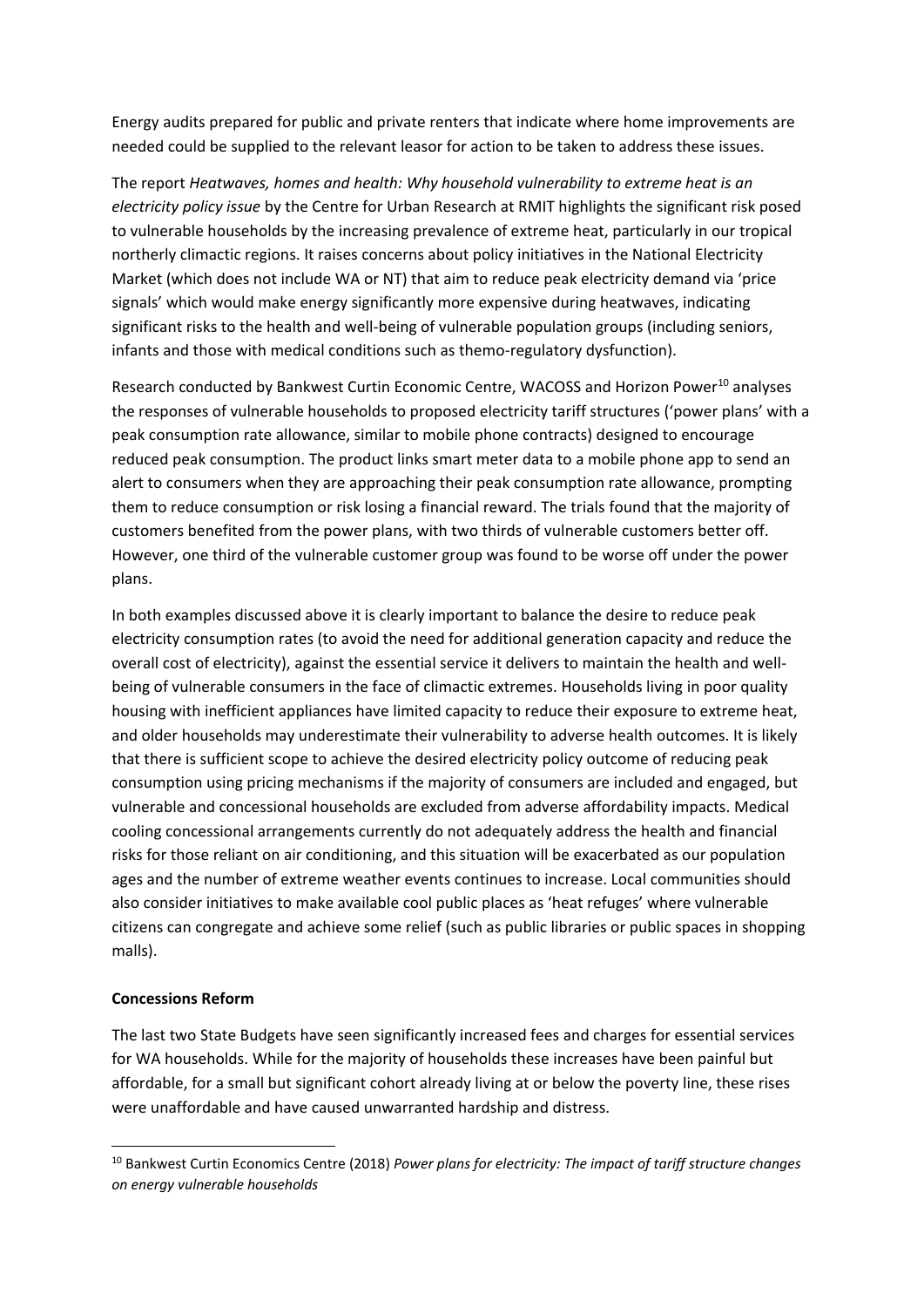Energy audits prepared for public and private renters that indicate where home improvements are needed could be supplied to the relevant leasor for action to be taken to address these issues.

The report *Heatwaves, homes and health: Why household vulnerability to extreme heat is an electricity policy issue* by the Centre for Urban Research at RMIT highlights the significant risk posed to vulnerable households by the increasing prevalence of extreme heat, particularly in our tropical northerly climactic regions. It raises concerns about policy initiatives in the National Electricity Market (which does not include WA or NT) that aim to reduce peak electricity demand via 'price signals' which would make energy significantly more expensive during heatwaves, indicating significant risks to the health and well-being of vulnerable population groups (including seniors, infants and those with medical conditions such as themo-regulatory dysfunction).

Research conducted by Bankwest Curtin Economic Centre, WACOSS and Horizon Power<sup>10</sup> analyses the responses of vulnerable households to proposed electricity tariff structures ('power plans' with a peak consumption rate allowance, similar to mobile phone contracts) designed to encourage reduced peak consumption. The product links smart meter data to a mobile phone app to send an alert to consumers when they are approaching their peak consumption rate allowance, prompting them to reduce consumption or risk losing a financial reward. The trials found that the majority of customers benefited from the power plans, with two thirds of vulnerable customers better off. However, one third of the vulnerable customer group was found to be worse off under the power plans.

In both examples discussed above it is clearly important to balance the desire to reduce peak electricity consumption rates (to avoid the need for additional generation capacity and reduce the overall cost of electricity), against the essential service it delivers to maintain the health and wellbeing of vulnerable consumers in the face of climactic extremes. Households living in poor quality housing with inefficient appliances have limited capacity to reduce their exposure to extreme heat, and older households may underestimate their vulnerability to adverse health outcomes. It is likely that there is sufficient scope to achieve the desired electricity policy outcome of reducing peak consumption using pricing mechanisms if the majority of consumers are included and engaged, but vulnerable and concessional households are excluded from adverse affordability impacts. Medical cooling concessional arrangements currently do not adequately address the health and financial risks for those reliant on air conditioning, and this situation will be exacerbated as our population ages and the number of extreme weather events continues to increase. Local communities should also consider initiatives to make available cool public places as 'heat refuges' where vulnerable citizens can congregate and achieve some relief (such as public libraries or public spaces in shopping malls).

### **Concessions Reform**

1

The last two State Budgets have seen significantly increased fees and charges for essential services for WA households. While for the majority of households these increases have been painful but affordable, for a small but significant cohort already living at or below the poverty line, these rises were unaffordable and have caused unwarranted hardship and distress.

<sup>10</sup> Bankwest Curtin Economics Centre (2018) *Power plans for electricity: The impact of tariff structure changes on energy vulnerable households*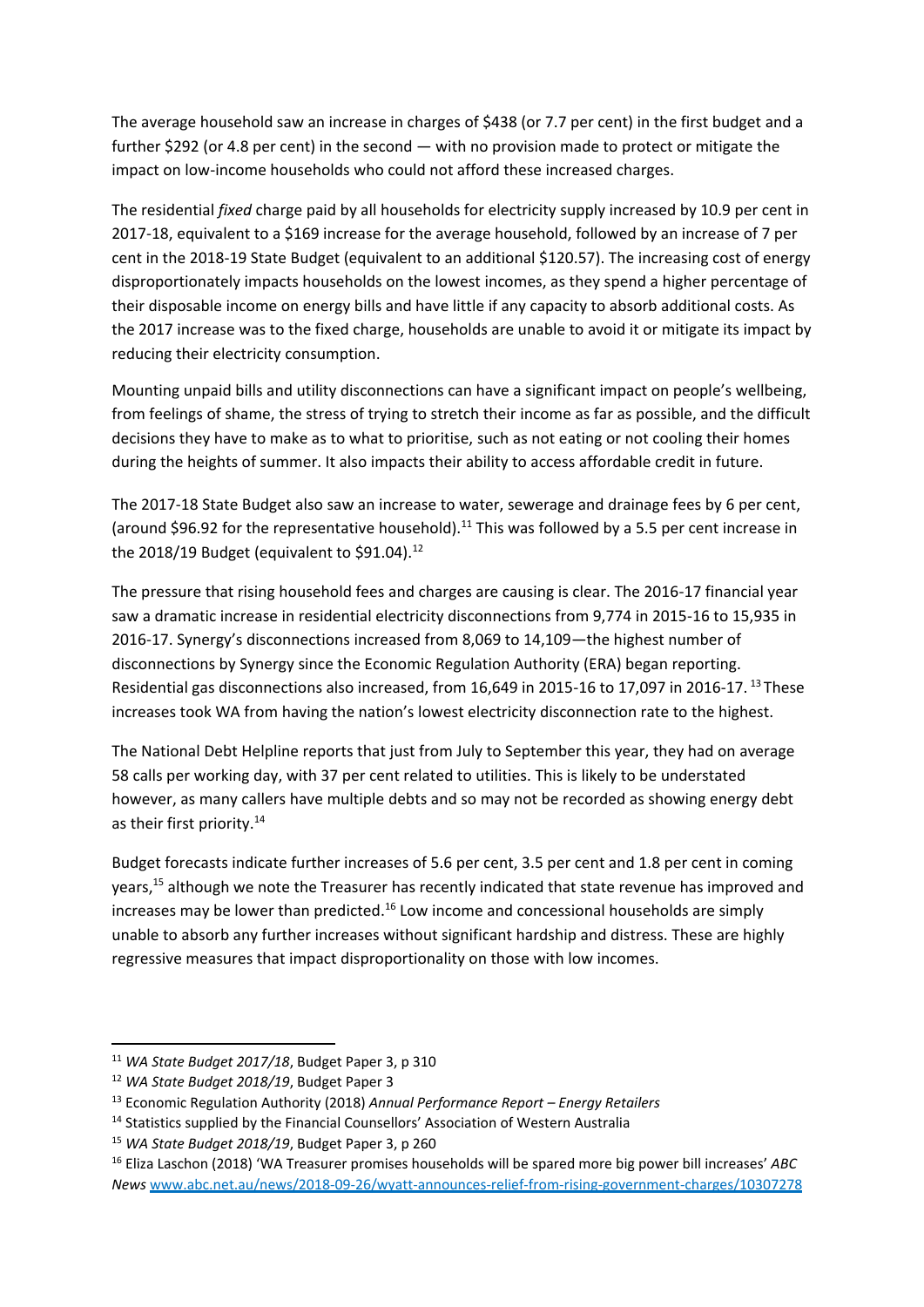The average household saw an increase in charges of \$438 (or 7.7 per cent) in the first budget and a further \$292 (or 4.8 per cent) in the second — with no provision made to protect or mitigate the impact on low-income households who could not afford these increased charges.

The residential *fixed* charge paid by all households for electricity supply increased by 10.9 per cent in 2017-18, equivalent to a \$169 increase for the average household, followed by an increase of 7 per cent in the 2018-19 State Budget (equivalent to an additional \$120.57). The increasing cost of energy disproportionately impacts households on the lowest incomes, as they spend a higher percentage of their disposable income on energy bills and have little if any capacity to absorb additional costs. As the 2017 increase was to the fixed charge, households are unable to avoid it or mitigate its impact by reducing their electricity consumption.

Mounting unpaid bills and utility disconnections can have a significant impact on people's wellbeing, from feelings of shame, the stress of trying to stretch their income as far as possible, and the difficult decisions they have to make as to what to prioritise, such as not eating or not cooling their homes during the heights of summer. It also impacts their ability to access affordable credit in future.

The 2017-18 State Budget also saw an increase to water, sewerage and drainage fees by 6 per cent, (around \$96.92 for the representative household).<sup>11</sup> This was followed by a 5.5 per cent increase in the 2018/19 Budget (equivalent to \$91.04).<sup>12</sup>

The pressure that rising household fees and charges are causing is clear. The 2016-17 financial year saw a dramatic increase in residential electricity disconnections from 9,774 in 2015-16 to 15,935 in 2016-17. Synergy's disconnections increased from 8,069 to 14,109—the highest number of disconnections by Synergy since the Economic Regulation Authority (ERA) began reporting. Residential gas disconnections also increased, from 16,649 in 2015-16 to 17,097 in 2016-17. <sup>13</sup> These increases took WA from having the nation's lowest electricity disconnection rate to the highest.

The National Debt Helpline reports that just from July to September this year, they had on average 58 calls per working day, with 37 per cent related to utilities. This is likely to be understated however, as many callers have multiple debts and so may not be recorded as showing energy debt as their first priority.<sup>14</sup>

Budget forecasts indicate further increases of 5.6 per cent, 3.5 per cent and 1.8 per cent in coming years,<sup>15</sup> although we note the Treasurer has recently indicated that state revenue has improved and increases may be lower than predicted.<sup>16</sup> Low income and concessional households are simply unable to absorb any further increases without significant hardship and distress. These are highly regressive measures that impact disproportionality on those with low incomes.

<sup>11</sup> *WA State Budget 2017/18*, Budget Paper 3, p 310

<sup>12</sup> *WA State Budget 2018/19*, Budget Paper 3

<sup>13</sup> Economic Regulation Authority (2018) *Annual Performance Report – Energy Retailers*

<sup>&</sup>lt;sup>14</sup> Statistics supplied by the Financial Counsellors' Association of Western Australia

<sup>15</sup> *WA State Budget 2018/19*, Budget Paper 3, p 260

<sup>16</sup> Eliza Laschon (2018) 'WA Treasurer promises households will be spared more big power bill increases' *ABC News* [www.abc.net.au/news/2018-09-26/wyatt-announces-relief-from-rising-government-charges/10307278](http://www.abc.net.au/news/2018-09-26/wyatt-announces-relief-from-rising-government-charges/10307278)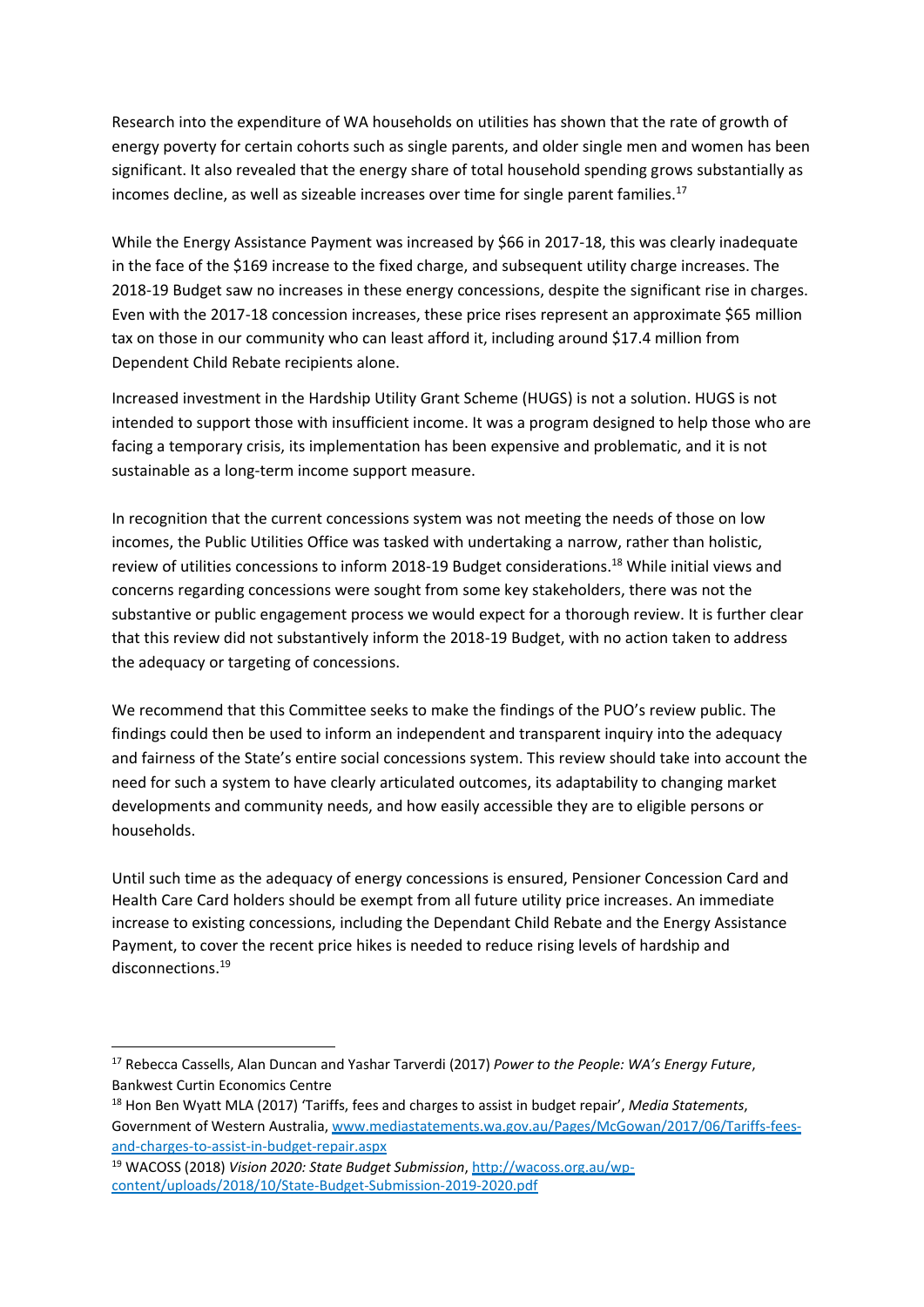Research into the expenditure of WA households on utilities has shown that the rate of growth of energy poverty for certain cohorts such as single parents, and older single men and women has been significant. It also revealed that the energy share of total household spending grows substantially as incomes decline, as well as sizeable increases over time for single parent families.<sup>17</sup>

While the Energy Assistance Payment was increased by \$66 in 2017-18, this was clearly inadequate in the face of the \$169 increase to the fixed charge, and subsequent utility charge increases. The 2018-19 Budget saw no increases in these energy concessions, despite the significant rise in charges. Even with the 2017-18 concession increases, these price rises represent an approximate \$65 million tax on those in our community who can least afford it, including around \$17.4 million from Dependent Child Rebate recipients alone.

Increased investment in the Hardship Utility Grant Scheme (HUGS) is not a solution. HUGS is not intended to support those with insufficient income. It was a program designed to help those who are facing a temporary crisis, its implementation has been expensive and problematic, and it is not sustainable as a long-term income support measure.

In recognition that the current concessions system was not meeting the needs of those on low incomes, the Public Utilities Office was tasked with undertaking a narrow, rather than holistic, review of utilities concessions to inform 2018-19 Budget considerations. <sup>18</sup> While initial views and concerns regarding concessions were sought from some key stakeholders, there was not the substantive or public engagement process we would expect for a thorough review. It is further clear that this review did not substantively inform the 2018-19 Budget, with no action taken to address the adequacy or targeting of concessions.

We recommend that this Committee seeks to make the findings of the PUO's review public. The findings could then be used to inform an independent and transparent inquiry into the adequacy and fairness of the State's entire social concessions system. This review should take into account the need for such a system to have clearly articulated outcomes, its adaptability to changing market developments and community needs, and how easily accessible they are to eligible persons or households.

Until such time as the adequacy of energy concessions is ensured, Pensioner Concession Card and Health Care Card holders should be exempt from all future utility price increases. An immediate increase to existing concessions, including the Dependant Child Rebate and the Energy Assistance Payment, to cover the recent price hikes is needed to reduce rising levels of hardship and disconnections.<sup>19</sup>

<sup>17</sup> Rebecca Cassells, Alan Duncan and Yashar Tarverdi (2017) *Power to the People: WA's Energy Future*, Bankwest Curtin Economics Centre

<sup>18</sup> Hon Ben Wyatt MLA (2017) 'Tariffs, fees and charges to assist in budget repair', *Media Statements*, Government of Western Australia, [www.mediastatements.wa.gov.au/Pages/McGowan/2017/06/Tariffs-fees](http://www.mediastatements.wa.gov.au/Pages/McGowan/2017/06/Tariffs-fees-and-charges-to-assist-in-budget-repair.aspx)[and-charges-to-assist-in-budget-repair.aspx](http://www.mediastatements.wa.gov.au/Pages/McGowan/2017/06/Tariffs-fees-and-charges-to-assist-in-budget-repair.aspx)

<sup>19</sup> WACOSS (2018) *Vision 2020: State Budget Submission*[, http://wacoss.org.au/wp](http://wacoss.org.au/wp-content/uploads/2018/10/State-Budget-Submission-2019-2020.pdf)[content/uploads/2018/10/State-Budget-Submission-2019-2020.pdf](http://wacoss.org.au/wp-content/uploads/2018/10/State-Budget-Submission-2019-2020.pdf)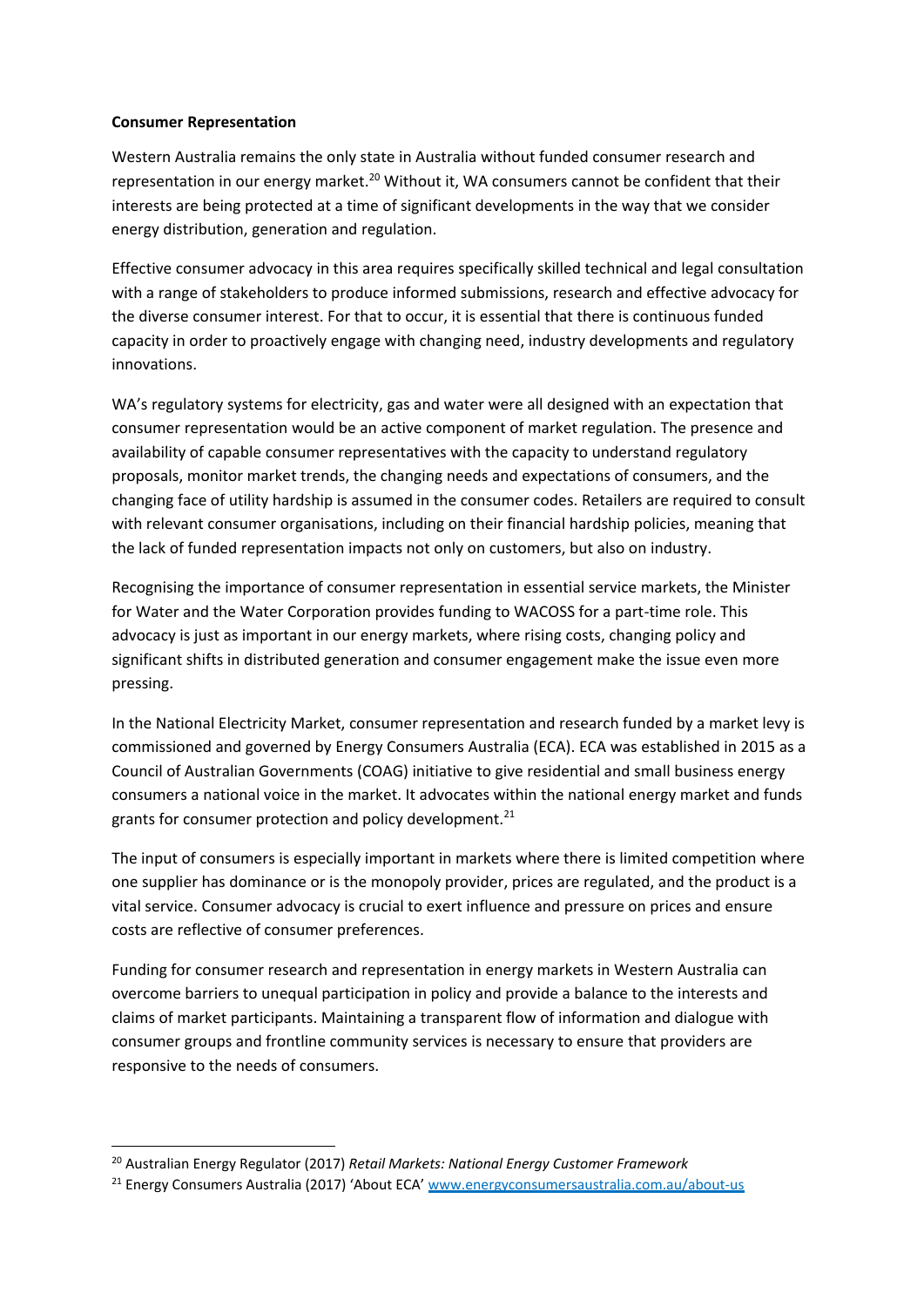### **Consumer Representation**

Western Australia remains the only state in Australia without funded consumer research and representation in our energy market.<sup>20</sup> Without it, WA consumers cannot be confident that their interests are being protected at a time of significant developments in the way that we consider energy distribution, generation and regulation.

Effective consumer advocacy in this area requires specifically skilled technical and legal consultation with a range of stakeholders to produce informed submissions, research and effective advocacy for the diverse consumer interest. For that to occur, it is essential that there is continuous funded capacity in order to proactively engage with changing need, industry developments and regulatory innovations.

WA's regulatory systems for electricity, gas and water were all designed with an expectation that consumer representation would be an active component of market regulation. The presence and availability of capable consumer representatives with the capacity to understand regulatory proposals, monitor market trends, the changing needs and expectations of consumers, and the changing face of utility hardship is assumed in the consumer codes. Retailers are required to consult with relevant consumer organisations, including on their financial hardship policies, meaning that the lack of funded representation impacts not only on customers, but also on industry.

Recognising the importance of consumer representation in essential service markets, the Minister for Water and the Water Corporation provides funding to WACOSS for a part-time role. This advocacy is just as important in our energy markets, where rising costs, changing policy and significant shifts in distributed generation and consumer engagement make the issue even more pressing.

In the National Electricity Market, consumer representation and research funded by a market levy is commissioned and governed by Energy Consumers Australia (ECA). ECA was established in 2015 as a Council of Australian Governments (COAG) initiative to give residential and small business energy consumers a national voice in the market. It advocates within the national energy market and funds grants for consumer protection and policy development. $^{21}$ 

The input of consumers is especially important in markets where there is limited competition where one supplier has dominance or is the monopoly provider, prices are regulated, and the product is a vital service. Consumer advocacy is crucial to exert influence and pressure on prices and ensure costs are reflective of consumer preferences.

Funding for consumer research and representation in energy markets in Western Australia can overcome barriers to unequal participation in policy and provide a balance to the interests and claims of market participants. Maintaining a transparent flow of information and dialogue with consumer groups and frontline community services is necessary to ensure that providers are responsive to the needs of consumers.

1

<sup>20</sup> Australian Energy Regulator (2017) *Retail Markets: National Energy Customer Framework*

<sup>&</sup>lt;sup>21</sup> Energy Consumers Australia (2017) 'About ECA' [www.energyconsumersaustralia.com.au/about-us](http://www.energyconsumersaustralia.com.au/about-us)